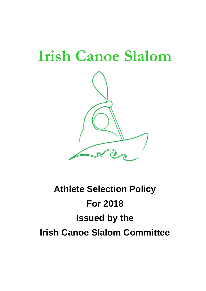# **Irish Canoe Slalom**



# **Athlete Selection Policy For 2018 Issued by the Irish Canoe Slalom Committee**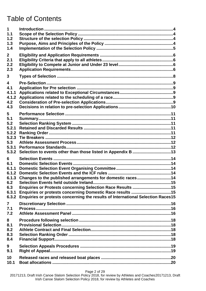# Table of Contents

| 1<br>1.1<br>1.2<br>1.3<br>1.4                                       |                                                                                                                                                                                                                                                                          |  |
|---------------------------------------------------------------------|--------------------------------------------------------------------------------------------------------------------------------------------------------------------------------------------------------------------------------------------------------------------------|--|
| $\mathbf{2}$<br>2.1<br>2.2<br>2.3                                   |                                                                                                                                                                                                                                                                          |  |
| 3                                                                   |                                                                                                                                                                                                                                                                          |  |
| $\overline{\mathbf{4}}$<br>4.1<br>4.1.1<br>4.1.2<br>4.2<br>4.3      |                                                                                                                                                                                                                                                                          |  |
| 5<br>5.1<br>5.2<br>5.2.1<br>5.2.2<br>5.2.3<br>5.3<br>5.3.1<br>5.3.2 |                                                                                                                                                                                                                                                                          |  |
| 6<br>6.1<br>6.1.1<br>6.1.2<br>6.1.3<br>6.2<br>6.3<br>6.3.1<br>6.3.2 | Changes to the published arrangements for domestic races14<br>Enquiries or Protests concerning Selection Race Results 15<br>Enquiries or protests concerning Domestic Race results 15<br>Enquiries or protests concerning the results of International Selection Races15 |  |
| $\overline{7}$<br>7.1<br>7.2                                        |                                                                                                                                                                                                                                                                          |  |
| 8<br>8.1<br>8.2<br>8.3<br>8.4                                       |                                                                                                                                                                                                                                                                          |  |
| 9<br>9.1                                                            |                                                                                                                                                                                                                                                                          |  |
| 10<br>10.1                                                          |                                                                                                                                                                                                                                                                          |  |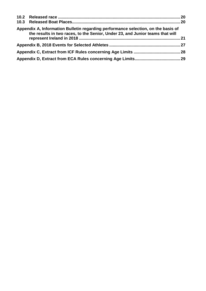| Appendix A, Information Bulletin regarding performance selection, on the basis of<br>the results in two races, to the Senior, Under 23, and Junior teams that will |  |
|--------------------------------------------------------------------------------------------------------------------------------------------------------------------|--|
|                                                                                                                                                                    |  |
|                                                                                                                                                                    |  |
|                                                                                                                                                                    |  |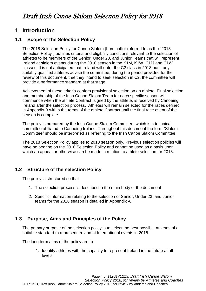### <span id="page-3-0"></span>**1 Introduction**

#### <span id="page-3-1"></span>**1.1 Scope of the Selection Policy**

The 2018 Selection Policy for Canoe Slalom (hereinafter referred to as the "2018 Selection Policy") outlines criteria and eligibility conditions relevant to the selection of athletes to be members of the Senior, Under 23, and Junior Teams that will represent Ireland at slalom events during the 2018 season in the K1M, K1W, C1M and C1W classes. It is not anticipated that Ireland will enter the C2 class in 2018 but if any suitably qualified athletes advise the committee, during the period provided for the review of this document, that they intend to seek selection in C2, the committee will provide a performance standard at that stage.

Achievement of these criteria confers provisional selection on an athlete. Final selection and membership of the Irish Canoe Slalom Team for each specific season will commence when the athlete Contract, signed by the athlete, is received by Canoeing Ireland after the selection process. Athletes will remain selected for the races defined in Appendix B within the terms of the athlete Contract until the final race event of the season is complete.

The policy is prepared by the Irish Canoe Slalom Committee, which is a technical committee affiliated to Canoeing Ireland. Throughout this document the term "Slalom Committee" should be interpreted as referring to the Irish Canoe Slalom Committee.

The 2018 Selection Policy applies to 2018 season only. Previous selection policies will have no bearing on the 2018 Selection Policy and cannot be used as a basis upon which an appeal or otherwise can be made in relation to athlete selection for 2018.

#### <span id="page-3-2"></span>**1.2 Structure of the selection Policy**

The policy is structured so that

- 1. The selection process is described in the main body of the document
- 2. Specific information relating to the selection of Senior, Under 23, and Junior teams for the 2018 season is detailed in Appendix A

#### <span id="page-3-3"></span>**1.3 Purpose, Aims and Principles of the Policy**

The primary purpose of the selection policy is to select the best possible athletes of a suitable standard to represent Ireland at International events in 2018.

The long term aims of the policy are to

1. Identify athletes with the capacity to represent Ireland in the future at all levels.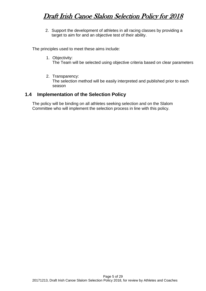2. Support the development of athletes in all racing classes by providing a target to aim for and an objective test of their ability.

The principles used to meet these aims include:

1. Objectivity:

The Team will be selected using objective criteria based on clear parameters

2. Transparency:

The selection method will be easily interpreted and published prior to each season

#### <span id="page-4-0"></span>**1.4 Implementation of the Selection Policy**

The policy will be binding on all athletes seeking selection and on the Slalom Committee who will implement the selection process in line with this policy.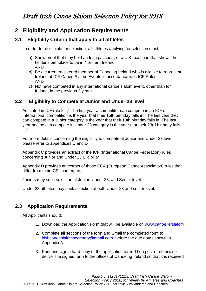### <span id="page-5-0"></span>**2 Eligibility and Application Requirements**

#### <span id="page-5-1"></span>**2.1 Eligibility Criteria that apply to all athletes**

In order to be eligible for selection, all athletes applying for selection must;

- a) Show proof that they hold an Irish passport, or a U.K. passport that shows the holder's birthplace to be in Northern Ireland AND
- b) Be a current registered member of Canoeing Ireland who is eligible to represent Ireland at ICF Canoe Slalom Events in accordance with ICF Rules AND
- c) Not have competed in any international canoe slalom event, other than for Ireland, in the previous 3 years.

#### **2.2 Eligibility to Compete at Junior and Under 23 level**

<span id="page-5-2"></span>As stated in ICF rule 3.4," The first year a competitor can compete in an ICF or International competition is the year that their 15th birthday falls in. The last year they can compete in a Junior category is the year that their 18th birthday falls in. The last year he/she can compete in Under 23 category is the year that their 23rd birthday falls in."

For more details concerning the eligibility to compete at Junior and Under 23 level, please refer to appendices C and D

Appendix C provides an extract of the ICF (International Canoe Federation) rules concerning Junior and Under 23 Eligibility

Appendix D provides an extract of those ECA (European Canoe Association) rules that differ from their ICF counterparts.

Juniors may seek selection at Junior, Under 23, and Senior level.

Under 23 athletes may seek selection at both Under 23 and senior level.

#### <span id="page-5-3"></span>**2.3 Application Requirements**

All Applicants should:

- 1. Download the Application Form that will be available on [www.canoe.ie/slalom](http://www.canoe.ie/slalom)
- 2. Complete all sections of the form and Email the completed form to [irishcanoeslalomsecretary@gmail.com,](mailto:irishcanoeslalomsecretary@gmail.com) before the due dates shown in Appendix A.
- 3. Print and sign a hard copy of the application form. Then post or otherwise deliver the signed form to the offices of Canoeing Ireland so that it is received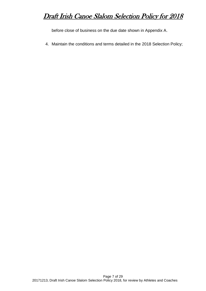before close of business on the due date shown in Appendix A.

4. Maintain the conditions and terms detailed in the 2018 Selection Policy;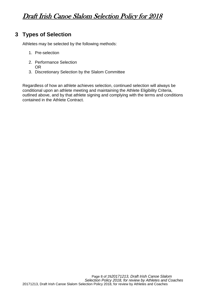### <span id="page-7-0"></span>**3 Types of Selection**

Athletes may be selected by the following methods:

- 1. Pre-selection
- 2. Performance Selection
	- OR
- 3. Discretionary Selection by the Slalom Committee

Regardless of how an athlete achieves selection, continued selection will always be conditional upon an athlete meeting and maintaining the Athlete Eligibility Criteria, outlined above, and by that athlete signing and complying with the terms and conditions contained in the Athlete Contract.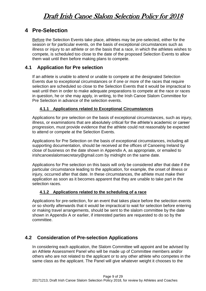### <span id="page-8-0"></span>**4 Pre-Selection**

Before the Selection Events take place, athletes may be pre-selected, either for the season or for particular events, on the basis of exceptional circumstances such as illness or injury to an athlete or on the basis that a race, in which the athletes wishes to compete, is scheduled too close to the date of the proposed Selection Events to allow them wait until then before making plans to compete.

#### <span id="page-8-1"></span>**4.1 Application for Pre selection**

If an athlete is unable to attend or unable to compete at the designated Selection Events due to exceptional circumstances or if one or more of the races that require selection are scheduled so close to the Selection Events that it would be impractical to wait until then in order to make adequate preparations to compete at the race or races in question, he or she may apply, in writing, to the Irish Canoe Slalom Committee for Pre Selection in advance of the selection events.

#### <span id="page-8-2"></span>**4.1.1 Applications related to Exceptional Circumstances**

Applications for pre selection on the basis of exceptional circumstances, such as injury, illness, or examinations that are absolutely critical for the athlete's academic or career progression, must provide evidence that the athlete could not reasonably be expected to attend or compete at the Selection Events.

Applications for Pre Selection on the basis of exceptional circumstances, including all supporting documentation, should be received at the offices of Canoeing Ireland by close of business on the date shown in Appendix A, as appropriate, or emailed to [irishcanoeslalomsecretary@gmail.com](mailto:irishcanoeslalomsecretary@gmail.com) by midnight on the same date.

Applications for Pre selection on this basis will only be considered after that date if the particular circumstance leading to the application, for example, the onset of illness or injury, occurred after that date. In these circumstances, the athlete must make their application as soon as it becomes apparent that they are unable to take part in the selection races.

#### **4.1.2 Applications related to the scheduling of a race**

<span id="page-8-3"></span>Applications for pre-selection, for an event that takes place before the selection events or so shortly afterwards that it would be impractical to wait for selection before entering or making travel arrangements, should be sent to the slalom committee by the date shown in Appendix A or earlier, if interested parties are requested to do so by the committee.

#### <span id="page-8-4"></span>**4.2 Consideration of Pre-selection Applications**

In considering each application, the Slalom Committee will appoint and be advised by an Athlete Assessment Panel who will be made up of Committee members and/or others who are not related to the applicant or to any other athlete who competes in the same class as the applicant. The Panel will give whatever weight it chooses to the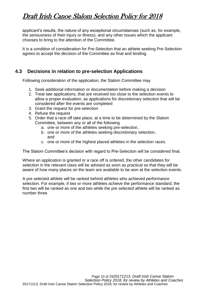applicant's results, the nature of any exceptional circumstances (such as, for example, the seriousness of their injury or illness), and any other issues which the applicant chooses to bring to the attention of the Committee.

It is a condition of consideration for Pre-Selection that an athlete seeking Pre-Selection agrees to accept the decision of the Committee as final and binding.

#### <span id="page-9-0"></span>**4.3 Decisions in relation to pre-selection Applications**

Following consideration of the application, the Slalom Committee may

- 1. Seek additional information or documentation before making a decision
- 2. Treat late applications, that are received too close to the selection events to allow a proper evaluation, as applications for discretionary selection that will be considered after the events are completed
- 3. Grant the request for pre-selection
- 4. Refuse the request
- 5. Order that a race off take place, at a time to be determined by the Slalom Committee, between any or all of the following
	- a. one or more of the athletes seeking pre-selection,
	- b. one or more of the athletes seeking discretionary selection, and
	- c. one or more of the highest placed athletes in the selection races.

The Slalom Committee's decision with regard to Pre-Selection will be considered final.

Where an application is granted or a race off is ordered, the other candidates for selection in the relevant class will be advised as soon as practical so that they will be aware of how many places on the team are available to be won at the selection events.

A pre selected athlete will be ranked behind athletes who achieved performance selection. For example, if two or more athletes achieve the performance standard, the first two will be ranked as one and two while the pre selected athlete will be ranked as number three.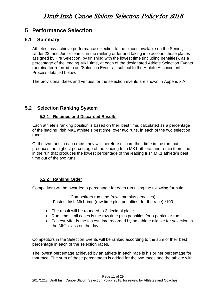### <span id="page-10-0"></span>**5 Performance Selection**

#### <span id="page-10-1"></span>**5.1 Summary**

Athletes may achieve performance selection to the places available on the Senior, Under 23, and Junior teams, in the ranking order and taking into account those places assigned by Pre Selection, by finishing with the lowest time (including penalties), as a percentage of the leading MK1 time, at each of the designated Athlete Selection Events (hereinafter referred to as "Selection Events"), subject to the Athlete Assessment Process detailed below.

The provisional dates and venues for the selection events are shown in Appendix A.

#### <span id="page-10-2"></span>**5.2 Selection Ranking System**

#### **5.2.1 Retained and Discarded Results**

<span id="page-10-3"></span>Each athlete's ranking position is based on their best time, calculated as a percentage of the leading Irish MK1 athlete's best time, over two runs, in each of the two selection races.

Of the two runs in each race, they will therefore discard their time in the run that produces the highest percentage of the leading Irish MK1 athlete, and retain their time in the run that produces the lowest percentage of the leading Irish MK1 athlete's best time out of the two runs.

#### **5.2.2 Ranking Order**

<span id="page-10-4"></span>Competitors will be awarded a percentage for each run using the following formula

Competitors run time (raw time plus penalties) Fastest Irish Mk1 time (raw time plus penalties) for the race) \*100

- The result will be rounded to 2 decimal place
- Run time in all cases is the raw time plus penalties for a particular run
- Fastest MK1 is the fastest time recorded by an athlete eligible for selection in the MK1 class on the day

Competitors in the Selection Events will be ranked according to the sum of their best percentage in each of the selection races.

The lowest percentage achieved by an athlete in each race is his or her percentage for that race. The sum of these percentages is added for the two races and the athlete with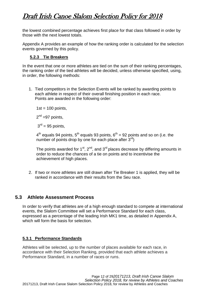the lowest combined percentage achieves first place for that class followed in order by those with the next lowest totals.

Appendix A provides an example of how the ranking order is calculated for the selection events governed by this policy.

#### **5.2.3 Tie Breakers**

<span id="page-11-0"></span>In the event that one or more athletes are tied on the sum of their ranking percentages, the ranking order of the tied athletes will be decided, unless otherwise specified, using, in order, the following methods:

1. Tied competitors in the Selection Events will be ranked by awarding points to each athlete in respect of their overall finishing position in each race. Points are awarded in the following order:

 $1st = 100$  points,

 $2^{nd}$  =97 points,

 $3<sup>rd</sup> = 95$  points,

 $4<sup>th</sup>$  equals 94 points, 5<sup>th</sup> equals 93 points, 6<sup>th</sup> = 92 points and so on (i.e. the number of points drop by one for each place after  $3^{rd}$ )

The points awarded for  $1<sup>st</sup>$ ,  $2<sup>nd</sup>$ , and  $3<sup>rd</sup>$  places decrease by differing amounts in order to reduce the chances of a tie on points and to incentivise the achievement of high places.

2. If two or more athletes are still drawn after Tie Breaker 1 is applied, they will be ranked in accordance with their results from the Seu race.

#### <span id="page-11-1"></span>**5.3 Athlete Assessment Process**

In order to verify that athletes are of a high enough standard to compete at international events, the Slalom Committee will set a Performance Standard for each class, expressed as a percentage of the leading Irish MK1 time, as detailed in Appendix A, which will form the basis for selection.

#### <span id="page-11-2"></span>**5.3.1 Performance Standards**

Athletes will be selected, up to the number of places available for each race, in accordance with their Selection Ranking, provided that each athlete achieves a Performance Standard, in a number of races or runs.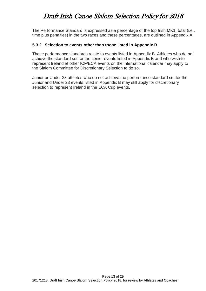The Performance Standard is expressed as a percentage of the top Irish MK1, total (i.e., time plus penalties) in the two races and these percentages, are outlined in Appendix A.

#### <span id="page-12-0"></span>**5.3.2 Selection to events other than those listed in Appendix B**

These performance standards relate to events listed in Appendix B. Athletes who do not achieve the standard set for the senior events listed in Appendix B and who wish to represent Ireland at other ICF/ECA events on the international calendar may apply to the Slalom Committee for Discretionary Selection to do so.

Junior or Under 23 athletes who do not achieve the performance standard set for the Junior and Under 23 events listed in Appendix B may still apply for discretionary selection to represent Ireland in the ECA Cup events.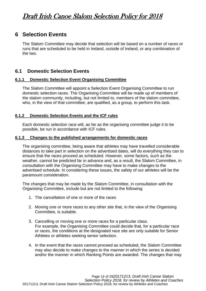### <span id="page-13-0"></span>**6 Selection Events**

The Slalom Committee may decide that selection will be based on a number of races or runs that are scheduled to be held in Ireland, outside of Ireland, or any combination of the two.

#### <span id="page-13-1"></span>**6.1 Domestic Selection Events**

#### <span id="page-13-2"></span>**6.1.1 Domestic Selection Event Organising Committee**

The Slalom Committee will appoint a Selection Event Organising Committee to run domestic selection races. The Organising Committee will be made up of members of the slalom community, including, but not limited to, members of the slalom committee, who, in the view of that committee, are qualified, as a group, to perform this task.

#### <span id="page-13-3"></span>**6.1.2 Domestic Selection Events and the ICF rules**

Each domestic selection race will, as far as the organising committee judge it to be possible, be run in accordance with ICF rules.

#### <span id="page-13-4"></span>**6.1.3 Changes to the published arrangements for domestic races**

The organising committee, being aware that athletes may have travelled considerable distances to take part in selection on the advertised dates, will do everything they can to ensure that the races proceed as scheduled. However, some factors, such as the weather, cannot be predicted far in advance and, as a result, the Slalom Committee, in consultation with the Organising Committee may have to make changes to the advertised schedule. In considering these issues, the safety of our athletes will be the paramount consideration.

The changes that may be made by the Slalom Committee, in consultation with the Organising Committee, include but are not limited to the following:

- 1. The cancellation of one or more of the races
- 2. Moving one or more races to any other site that, in the view of the Organising Committee, is suitable.
- 3. Cancelling or moving one or more races for a particular class. For example, the Organising Committee could decide that, for a particular race or races, the conditions at the designated race site are only suitable for Senior Athletes or athletes seeking senior selection.
- 4. In the event that the races cannot proceed as scheduled, the Slalom Committee may also decide to make changes to the manner in which the series is decided and/or the manner in which Ranking Points are awarded. The changes that may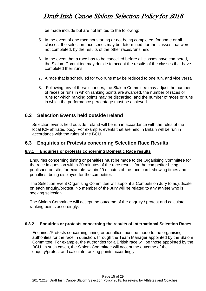be made include but are not limited to the following:

- 5. In the event of one race not starting or not being completed, for some or all classes, the selection race series may be determined, for the classes that were not completed, by the results of the other races/runs held.
- 6. In the event that a race has to be cancelled before all classes have competed, the Slalom Committee may decide to accept the results of the classes that have completed their runs.
- 7. A race that is scheduled for two runs may be reduced to one run, and vice versa
- 8. Following any of these changes, the Slalom Committee may adjust the number of races or runs in which ranking points are awarded, the number of races or runs for which ranking points may be discarded, and the number of races or runs in which the performance percentage must be achieved.

#### <span id="page-14-0"></span>**6.2 Selection Events held outside Ireland**

Selection events held outside Ireland will be run in accordance with the rules of the local ICF affiliated body. For example, events that are held in Britain will be run in accordance with the rules of the BCU.

#### <span id="page-14-1"></span>**6.3 Enquiries or Protests concerning Selection Race Results**

#### <span id="page-14-2"></span>**6.3.1 Enquiries or protests concerning Domestic Race results**

Enquiries concerning timing or penalties must be made to the Organising Committee for the race in question within 20 minutes of the race results for the competitor being published on-site, for example, within 20 minutes of the race card, showing times and penalties, being displayed for the competitor.

The Selection Event Organising Committee will appoint a Competition Jury to adjudicate on each enquiry/protest. No member of the Jury will be related to any athlete who is seeking selection.

The Slalom Committee will accept the outcome of the enquiry / protest and calculate ranking points accordingly.

#### <span id="page-14-3"></span>**6.3.2 Enquiries or protests concerning the results of International Selection Races**

Enquiries/Protests concerning timing or penalties must be made to the organising authorities for the race in question, through the Team Manager appointed by the Slalom Committee. For example, the authorities for a British race will be those appointed by the BCU. In such cases, the Slalom Committee will accept the outcome of the enquiry/protest and calculate ranking points accordingly.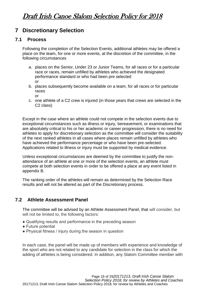### <span id="page-15-0"></span>**7 Discretionary Selection**

#### <span id="page-15-1"></span>**7.1 Process**

Following the completion of the Selection Events, additional athletes may be offered a place on the team, for one or more events, at the discretion of the committee, in the following circumstances

- a. places on the Senior, Under 23 or Junior Teams, for all races or for a particular race or races, remain unfilled by athletes who achieved the designated performance standard or who had been pre selected or
- b. places subsequently become available on a team, for all races or for particular races or
- c. one athlete of a C2 crew is injured (in those years that crews are selected in the C2 class)

Except in the case where an athlete could not compete in the selection events due to exceptional circumstances such as illness or injury, bereavement, or examinations that are absolutely critical to his or her academic or career progression, there is no need for athletes to apply for discretionary selection as the committee will consider the suitability of the next ranked athletes in all cases where places remain unfilled by athletes who have achieved the performance percentage or who have been pre-selected. Applications related to illness or injury must be supported by medical evidence.

Unless exceptional circumstances are deemed by the committee to justify the nonattendance of an athlete at one or more of the selection events, an athlete must compete at both selection events in order to be offered a place at any event listed in appendix B.

The ranking order of the athletes will remain as determined by the Selection Race results and will not be altered as part of the Discretionary process.

#### <span id="page-15-2"></span>**7.2 Athlete Assessment Panel**

The committee will be advised by an Athlete Assessment Panel, that will consider, but will not be limited to, the following factors:

- Qualifying results and performance in the preceding season
- Future potential
- Physical fitness / injury during the season in question

In each case, the panel will be made up of members with experience and knowledge of the sport who are not related to any candidate for selection in the class for which the adding of athletes is being considered. In addition, any Slalom Committee member with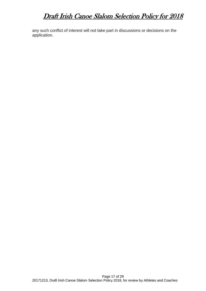any such conflict of interest will not take part in discussions or decisions on the application.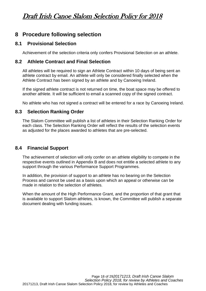### <span id="page-17-0"></span>**8 Procedure following selection**

#### <span id="page-17-1"></span>**8.1 Provisional Selection**

Achievement of the selection criteria only confers Provisional Selection on an athlete.

#### <span id="page-17-2"></span>**8.2 Athlete Contract and Final Selection**

All athletes will be required to sign an Athlete Contract within 10 days of being sent an athlete contract by email. An athlete will only be considered finally selected when the Athlete Contract has been signed by an athlete and by Canoeing Ireland.

If the signed athlete contract is not returned on time, the boat space may be offered to another athlete. It will be sufficient to email a scanned copy of the signed contract.

No athlete who has not signed a contract will be entered for a race by Canoeing Ireland.

#### <span id="page-17-3"></span>**8.3 Selection Ranking Order**

The Slalom Committee will publish a list of athletes in their Selection Ranking Order for each class. The Selection Ranking Order will reflect the results of the selection events as adjusted for the places awarded to athletes that are pre-selected.

#### <span id="page-17-4"></span>**8.4 Financial Support**

The achievement of selection will only confer on an athlete eligibility to compete in the respective events outlined in Appendix B and does not entitle a selected athlete to any support through the various Performance Support Programmes.

In addition, the provision of support to an athlete has no bearing on the Selection Process and cannot be used as a basis upon which an appeal or otherwise can be made in relation to the selection of athletes.

When the amount of the High Performance Grant, and the proportion of that grant that is available to support Slalom athletes, is known, the Committee will publish a separate document dealing with funding issues.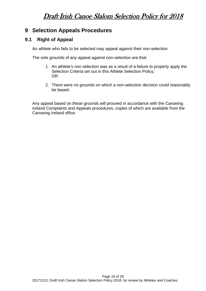### <span id="page-18-0"></span>**9 Selection Appeals Procedures**

#### <span id="page-18-1"></span>**9.1 Right of Appeal**

An athlete who fails to be selected may appeal against their non-selection.

The sole grounds of any appeal against non-selection are that:

- 1. An athlete's non selection was as a result of a failure to properly apply the Selection Criteria set out in this Athlete Selection Policy; OR
- 2. There were no grounds on which a non-selection decision could reasonably be based.

Any appeal based on these grounds will proceed in accordance with the Canoeing Ireland Complaints and Appeals procedures, copies of which are available from the Canoeing Ireland office.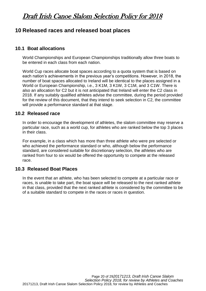### <span id="page-19-0"></span>**10 Released races and released boat places**

#### <span id="page-19-1"></span>**10.1 Boat allocations**

World Championships and European Championships traditionally allow three boats to be entered in each class from each nation.

World Cup races allocate boat spaces according to a quota system that is based on each nation's achievements in the previous year's competitions. However, in 2018, the number of boat spaces allocated to Ireland will be identical to the places assigned in a World or European Championship, i.e., 3 K1M, 3 K1W, 3 C1M, and 3 C1W. There is also an allocation for C2 but it is not anticipated that Ireland will enter the C2 class in 2018. If any suitably qualified athletes advise the committee, during the period provided for the review of this document, that they intend to seek selection in C2, the committee will provide a performance standard at that stage.

#### <span id="page-19-2"></span>**10.2 Released race**

In order to encourage the development of athletes, the slalom committee may reserve a particular race, such as a world cup, for athletes who are ranked below the top 3 places in their class.

For example, in a class which has more than three athlete who were pre selected or who achieved the performance standard or who, although below the performance standard, are considered suitable for discretionary selection, the athletes who are ranked from four to six would be offered the opportunity to compete at the released race.

#### <span id="page-19-3"></span>**10.3 Released Boat Places**

In the event that an athlete, who has been selected to compete at a particular race or races, is unable to take part, the boat space will be released to the next ranked athlete in that class, provided that the next ranked athlete is considered by the committee to be of a suitable standard to compete in the races or races in question.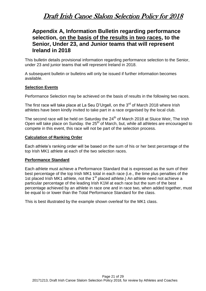### <span id="page-20-0"></span>**Appendix A, Information Bulletin regarding performance selection, on the basis of the results in two races, to the Senior, Under 23, and Junior teams that will represent Ireland in 2018**

This bulletin details provisional information regarding performance selection to the Senior, under 23 and junior teams that will represent Ireland in 2018.

A subsequent bulletin or bulletins will only be issued if further information becomes available.

#### **Selection Events**

Performance Selection may be achieved on the basis of results in the following two races.

The first race will take place at La Seu D'Urgell, on the 3<sup>rd</sup> of March 2018 where Irish athletes have been kindly invited to take part in a race organised by the local club.

The second race will be held on Saturday the 24<sup>th</sup> of March 2018 at Sluice Weir. The Irish Open will take place on Sunday. the 25<sup>th</sup> of March, but, while all athletes are encouraged to compete in this event, this race will not be part of the selection process.

#### **Calculation of Ranking Order**

Each athlete's ranking order will be based on the sum of his or her best percentage of the top Irish MK1 athlete at each of the two selection races.

#### **Performance Standard**

Each athlete must achieve a Performance Standard that is expressed as the sum of their best percentage of the top Irish MK1 total in each race (i.e., the time plus penalties of the 1st placed Irish MK1 athlete, not the 1<sup>st</sup> placed athlete.) An athlete need not achieve a particular percentage of the leading Irish K1M at each race but the sum of the best percentage achieved by an athlete in race one and in race two, when added together, must be equal to or lower than the Total Performance Standard for the class.

This is best illustrated by the example shown overleaf for the MK1 class.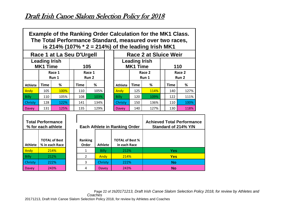| <b>Example of the Ranking Order Calculation for the MK1 Class.</b> |
|--------------------------------------------------------------------|
| The Total Performance Standard, measured over two races,           |
| is 214% (107% $*$ 2 = 214%) of the leading Irish MK1               |

|                | Race 1 at La Seu D'Urgell               |                 |  |                 |      |                                         |             | <b>Race 2 at Sluice Weir</b> |                 |     |
|----------------|-----------------------------------------|-----------------|--|-----------------|------|-----------------------------------------|-------------|------------------------------|-----------------|-----|
|                | <b>Leading Irish</b><br><b>MK1 Time</b> |                 |  | 105             |      | <b>Leading Irish</b><br><b>MK1 Time</b> |             |                              |                 | 110 |
|                |                                         | Race 1<br>Run 1 |  | Race 1<br>Run 2 |      | Race 2<br>Run 1                         |             |                              | Race 2<br>Run 2 |     |
| <b>Athlete</b> | Time                                    | %               |  | <b>Time</b>     | %    | <b>Athlete</b>                          | <b>Time</b> | %                            | <b>Time</b>     | %   |
| Andy           | 105                                     | 100%            |  | 110             | 105% | <b>Andy</b>                             | 125         | 114%                         | 140             | 12  |
| <b>Billy</b>   | 110                                     | 105%            |  | 108             | 103% | <b>Billy</b>                            | 120         | 109%                         | 122             | 11  |
| <b>Christy</b> | 128                                     | 122%            |  | 141             | 134% | Christy                                 | 150         | 136%                         | 110             | 10  |
| <b>Davey</b>   | 131                                     | 125%            |  | 135             | 129% | Davey                                   | 140         | 127%                         | 130             | 11  |

|              | Race 1 at La Seu D'Urgell               |                 |  | <b>Race 2 at Sluice Weir</b> |                 |                                         |             |      |                 |             |      |
|--------------|-----------------------------------------|-----------------|--|------------------------------|-----------------|-----------------------------------------|-------------|------|-----------------|-------------|------|
|              | <b>Leading Irish</b><br><b>MK1 Time</b> |                 |  |                              | 105             | <b>Leading Irish</b><br><b>MK1 Time</b> |             |      | 110             |             |      |
|              |                                         | Race 1<br>Run 1 |  |                              | Race 1<br>Run 2 | Race 2<br>Run 1                         |             |      | Race 2<br>Run 2 |             |      |
| Athlete      | Time                                    | %               |  | Time                         | %               | <b>Athlete</b>                          | <b>Time</b> | %    |                 | <b>Time</b> | %    |
| Andy         | 105                                     | <b>100%</b>     |  | 110                          | 105%            | Andy                                    | 125         | 114% |                 | 140         | 127% |
| Billy        | 110                                     | 105%            |  | 108                          | 103%            | Billy                                   | 120         | 109% |                 | 122         | 111% |
| Christy      | 128                                     | 122%            |  | 141                          | 134%            | <b>Christy</b>                          | 150         | 136% |                 | 110         | 100% |
| <b>Davey</b> | 131                                     | 125%            |  | 135                          | 129%            | Davey                                   | 140         | 127% |                 | 130         | 118% |

| <b>Total Performance</b><br>$\%$ for each athlete        |      |  |  |  |  |  |
|----------------------------------------------------------|------|--|--|--|--|--|
| <b>TOTAL of Best</b><br><b>Athlete</b><br>% in each Race |      |  |  |  |  |  |
| Andy                                                     | 214% |  |  |  |  |  |
| <b>Billy</b>                                             | 212% |  |  |  |  |  |
| Christy                                                  | 222% |  |  |  |  |  |
| Davey                                                    | 243% |  |  |  |  |  |

| <b>Total Performance</b><br>% for each athlete |                                        |                  |                | <b>Each Athlete in Ranking Order</b>   | <b>Achieved Total Performance</b><br>Standard of 214% Y/N |
|------------------------------------------------|----------------------------------------|------------------|----------------|----------------------------------------|-----------------------------------------------------------|
| <b>Athlete</b>                                 | <b>TOTAL of Best</b><br>% in each Race | Ranking<br>Order | <b>Athlete</b> | <b>TOTAL of Best %</b><br>in each Race |                                                           |
| Andy                                           | 214%                                   |                  | <b>Billy</b>   | 212%                                   | <b>Yes</b>                                                |
| Billy                                          | 212%                                   |                  | Andy           | 214%                                   | <b>Yes</b>                                                |
| Christy                                        | 222%                                   | 3                | Christy        | 222%                                   | <b>No</b>                                                 |
| <b>Davey</b>                                   | 243%                                   |                  | Davey          | 243%                                   | <b>No</b>                                                 |

Page 22 of 29*20171213, Draft Irish Canoe Slalom Selection Policy 2018, for review by Athletes and Coaches* 20171213, Draft Irish Canoe Slalom Selection Policy 2018, for review by Athletes and Coaches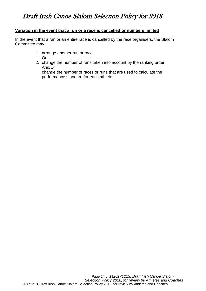#### **Variation in the event that a run or a race is cancelled or numbers limited**

In the event that a run or an entire race is cancelled by the race organisers, the Slalom Committee may

- 1. arrange another run or race Or
- 2. change the number of runs taken into account by the ranking order And/Or

change the number of races or runs that are used to calculate the performance standard for each athlete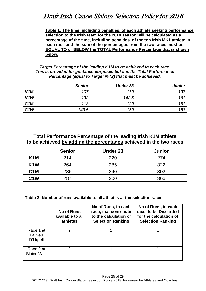**Table 1: The time, including penalties, of each athlete seeking performance selection to the Irish team for the 2018 season will be calculated as a percentage of the time, including penalties, of the top Irish MK1 athlete in each race and the sum of the percentages from the two races must be EQUAL TO or BELOW the TOTAL Performance Percentage that is shown below.**

*Target Percentage of the leading K1M to be achieved in each race. This is provided for guidance purposes but it is the Total Performance Percentage (equal to Target % \*2) that must be achieved.*

|                  | <b>Senior</b> | Under 23 | <b>Junior</b> |
|------------------|---------------|----------|---------------|
| K <sub>1</sub> M | 107           | 110      | 137           |
| K <sub>1</sub> W | 132           | 142.5    | 161           |
| C <sub>1</sub> M | 118           | 120      | 151           |
| C <sub>1</sub> W | 143.5         | 150      | 183           |

| <b>Total Performance Percentage of the leading Irish K1M athlete</b><br>to be achieved by adding the percentages achieved in the two races |               |                 |               |  |  |  |  |
|--------------------------------------------------------------------------------------------------------------------------------------------|---------------|-----------------|---------------|--|--|--|--|
|                                                                                                                                            | <b>Senior</b> | <b>Under 23</b> | <b>Junior</b> |  |  |  |  |
| K <sub>1</sub> M                                                                                                                           | 214           | 220             | 274           |  |  |  |  |
| K <sub>1</sub> W                                                                                                                           | 264           | 285             | 322           |  |  |  |  |
| C <sub>1</sub> M                                                                                                                           | 236           | 240             | 302           |  |  |  |  |
| C <sub>1</sub> W                                                                                                                           | 287           | 300             | 366           |  |  |  |  |

#### **Table 2: Number of runs available to all athletes at the selection races**

|                                 | <b>No of Runs</b><br>available to all<br>athletes | No of Runs, in each<br>race, that contribute<br>to the calculation of<br><b>Selection Ranking</b> | No of Runs, in each<br>race, to be Discarded<br>for the calculation of<br><b>Selection Ranking</b> |
|---------------------------------|---------------------------------------------------|---------------------------------------------------------------------------------------------------|----------------------------------------------------------------------------------------------------|
| Race 1 at<br>La Seu<br>D'Urgell |                                                   |                                                                                                   |                                                                                                    |
| Race 2 at<br>Sluice Weir        |                                                   |                                                                                                   |                                                                                                    |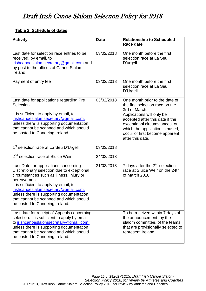#### **Table 3, Schedule of dates**

| <b>Activity</b>                                                                                                                                                                                                                                                                                                                                            | <b>Date</b> | <b>Relationship to Scheduled</b><br><b>Race date</b>                                                                                                                                                                                                                         |
|------------------------------------------------------------------------------------------------------------------------------------------------------------------------------------------------------------------------------------------------------------------------------------------------------------------------------------------------------------|-------------|------------------------------------------------------------------------------------------------------------------------------------------------------------------------------------------------------------------------------------------------------------------------------|
| Last date for selection race entries to be<br>received, by email, to<br>irishcanoeslalomsecretary@gmail.com and<br>by post to the offices of Canoe Slalom<br>Ireland                                                                                                                                                                                       | 03/02/2018  | One month before the first<br>selection race at La Seu<br>D'urgell.                                                                                                                                                                                                          |
| Payment of entry fee                                                                                                                                                                                                                                                                                                                                       | 03/02/2018  | One month before the first<br>selection race at La Seu<br>D'Urgell.                                                                                                                                                                                                          |
| Last date for applications regarding Pre<br>Selection.<br>It is sufficient to apply by email, to<br>irishcanoeslalomsecretary@gmail.com,<br>unless there is supporting documentation<br>that cannot be scanned and which should<br>be posted to Canoeing Ireland.                                                                                          | 03/02/2018  | One month prior to the date of<br>the first selection race on the<br>3rd of March.<br>Applications will only be<br>accepted after this date if the<br>exceptional circumstances, on<br>which the application is based,<br>occur or first become apparent<br>after this date. |
| 1 <sup>st</sup> selection race at La Seu D'Urgell                                                                                                                                                                                                                                                                                                          | 03/03/2018  |                                                                                                                                                                                                                                                                              |
| 2 <sup>nd</sup> selection race at Sluice Weir                                                                                                                                                                                                                                                                                                              | 24/03/2018  |                                                                                                                                                                                                                                                                              |
| Last Date for applications concerning<br>Discretionary selection due to exceptional<br>circumstances such as illness, injury or<br>bereavement.<br>It is sufficient to apply by email, to<br>irishcanoeslalomsecretary@gmail.com,<br>unless there is supporting documentation<br>that cannot be scanned and which should<br>be posted to Canoeing Ireland. | 31/03/2018  | 7 days after the 2 <sup>nd</sup> selection<br>race at Sluice Weir on the 24th<br>of March 2018.                                                                                                                                                                              |
| Last date for receipt of Appeals concerning<br>selection. It is sufficient to apply by email,<br>to irishcanoeslalomsecretary@gmail.com,<br>unless there is supporting documentation<br>that cannot be scanned and which should<br>be posted to Canoeing Ireland.                                                                                          |             | To be received within 7 days of<br>the announcement, by the<br>slalom committee, of the teams<br>that are provisionally selected to<br>represent Ireland.                                                                                                                    |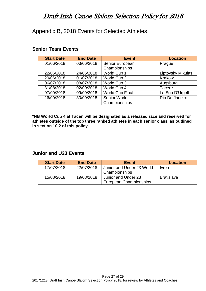<span id="page-26-0"></span>Appendix B, 2018 Events for Selected Athletes

| <b>Start Date</b> | <b>End Date</b> | <b>Event</b>           | <b>Location</b>   |
|-------------------|-----------------|------------------------|-------------------|
| 01/06/2018        | 03/06/2018      | Senior European        | Prague            |
|                   |                 | Championships          |                   |
| 22/06/2018        | 24/06/2018      | World Cup 1            | Liptovsky Mikulas |
| 29/06/2018        | 01/07/2018      | World Cup 2            | Krakow            |
| 06/07/2018        | 08/07/2018      | World Cup 3            | Augsburg          |
| 31/08/2018        | 02/09/2018      | World Cup 4            | Tacen*            |
| 07/09/2018        | 09/09/2018      | <b>World Cup Final</b> | La Seu D'Urgell   |
| 26/09/2018        | 30/09/2018      | <b>Senior World</b>    | Rio De Janeiro    |
|                   |                 | Championships          |                   |

#### **Senior Team Events**

**\*NB World Cup 4 at Tacen will be designated as a released race and reserved for athletes outside of the top three ranked athletes in each senior class, as outlined in section 10.2 of this policy.**

#### **Junior and U23 Events**

| <b>Start Date</b> | <b>End Date</b> | <b>Event</b>              | <b>Location</b>   |
|-------------------|-----------------|---------------------------|-------------------|
| 17/07/2018        | 22/07/2018      | Junior and Under 23 World | <b>Ivrea</b>      |
|                   |                 | Championships             |                   |
| 15/08/2018        | 19/08/2018      | Junior and Under 23       | <b>Bratislava</b> |
|                   |                 | European Championships    |                   |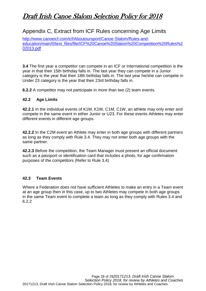### <span id="page-27-0"></span>Appendix C, Extract from ICF Rules concerning Age Limits

[http://www.canoeicf.com/icf/Aboutoursport/Canoe-Slalom/Rules-and](http://www.canoeicf.com/icf/Aboutoursport/Canoe-Slalom/Rules-and-education/main/0/text_files/file/ICF%20Canoe%20Slalom%20Competition%20Rules%202013.pdf)[education/main/0/text\\_files/file/ICF%20Canoe%20Slalom%20Competition%20Rules%2](http://www.canoeicf.com/icf/Aboutoursport/Canoe-Slalom/Rules-and-education/main/0/text_files/file/ICF%20Canoe%20Slalom%20Competition%20Rules%202013.pdf) [02013.pdf](http://www.canoeicf.com/icf/Aboutoursport/Canoe-Slalom/Rules-and-education/main/0/text_files/file/ICF%20Canoe%20Slalom%20Competition%20Rules%202013.pdf)

**3.4** The first year a competitor can compete in an ICF or International competition is the year in that their 15th birthday falls in. The last year they can compete in a Junior category is the year that their 18th birthday falls in. The last year he/she can compete in Under 23 category is the year that their 23rd birthday falls in.

**6.2.2** A competitor may not participate in more than two (2) team events.

#### **42.2 Age Limits**

**42.2.1** In the individual events of K1M, K1W, C1M, C1W, an athlete may only enter and compete in the same event in either Junior or U23. For these events Athletes may enter different events in different age groups.

**42.2.2** In the C2M event an Athlete may enter in both age groups with different partners as long as they comply with Rule 3.4. They may not enter both age groups with the same partner.

**42.2.3** Before the competition, the Team Manager must present an official document such as a passport or identification card that includes a photo, for age confirmation purposes of the competitors (Refer to Rule 3.4)

#### **42.3 Team Events**

Where a Federation does not have sufficient Athletes to make an entry in a Team event at an age group then in this case, up to two Athletes may compete in both age groups in the same Team event to complete a team as long as they comply with Rules 3.4 and 6.2.2